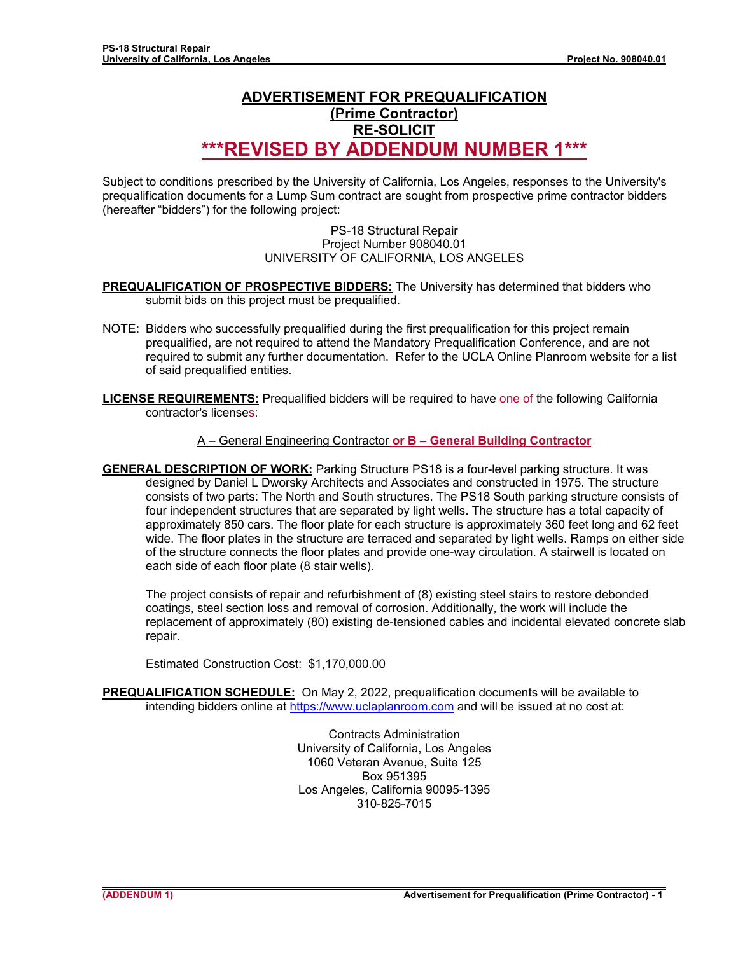## **ADVERTISEMENT FOR PREQUALIFICATION (Prime Contractor) RE-SOLICIT**

# **\*\*\*REVISED BY ADDENDUM NUMBER 1\*\*\***

Subject to conditions prescribed by the University of California, Los Angeles, responses to the University's prequalification documents for a Lump Sum contract are sought from prospective prime contractor bidders (hereafter "bidders") for the following project:

## PS-18 Structural Repair Project Number 908040.01 UNIVERSITY OF CALIFORNIA, LOS ANGELES

- **PREQUALIFICATION OF PROSPECTIVE BIDDERS:** The University has determined that bidders who submit bids on this project must be prequalified.
- NOTE: Bidders who successfully prequalified during the first prequalification for this project remain prequalified, are not required to attend the Mandatory Prequalification Conference, and are not required to submit any further documentation. Refer to the UCLA Online Planroom website for a list of said prequalified entities.
- **LICENSE REQUIREMENTS:** Prequalified bidders will be required to have one of the following California contractor's licenses:

## A – General Engineering Contractor **or B – General Building Contractor**

**GENERAL DESCRIPTION OF WORK:** Parking Structure PS18 is a four-level parking structure. It was designed by Daniel L Dworsky Architects and Associates and constructed in 1975. The structure consists of two parts: The North and South structures. The PS18 South parking structure consists of four independent structures that are separated by light wells. The structure has a total capacity of approximately 850 cars. The floor plate for each structure is approximately 360 feet long and 62 feet wide. The floor plates in the structure are terraced and separated by light wells. Ramps on either side of the structure connects the floor plates and provide one-way circulation. A stairwell is located on each side of each floor plate (8 stair wells).

The project consists of repair and refurbishment of (8) existing steel stairs to restore debonded coatings, steel section loss and removal of corrosion. Additionally, the work will include the replacement of approximately (80) existing de-tensioned cables and incidental elevated concrete slab repair.

Estimated Construction Cost: \$1,170,000.00

**PREQUALIFICATION SCHEDULE:** On May 2, 2022, prequalification documents will be available to intending bidders online at https://www.uclaplanroom.com and will be issued at no cost at:

> Contracts Administration University of California, Los Angeles 1060 Veteran Avenue, Suite 125 Box 951395 Los Angeles, California 90095-1395 310-825-7015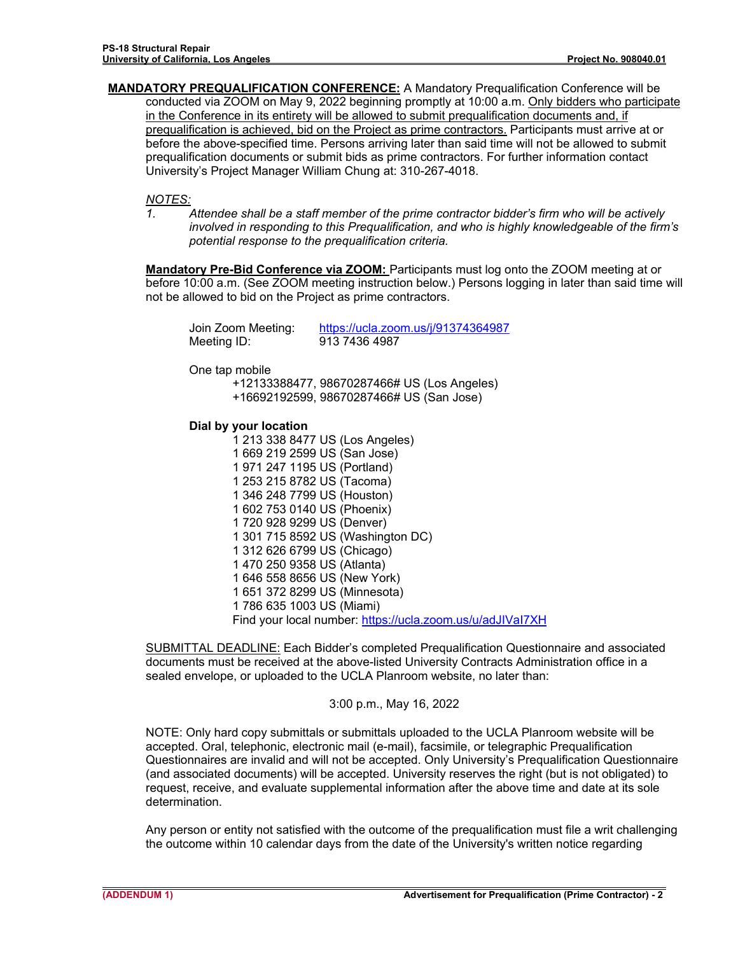**MANDATORY PREQUALIFICATION CONFERENCE:** A Mandatory Prequalification Conference will be conducted via ZOOM on May 9, 2022 beginning promptly at 10:00 a.m. Only bidders who participate in the Conference in its entirety will be allowed to submit prequalification documents and, if prequalification is achieved, bid on the Project as prime contractors. Participants must arrive at or before the above-specified time. Persons arriving later than said time will not be allowed to submit prequalification documents or submit bids as prime contractors. For further information contact University's Project Manager William Chung at: 310-267-4018.

### *NOTES:*

*1. Attendee shall be a staff member of the prime contractor bidder's firm who will be actively involved in responding to this Prequalification, and who is highly knowledgeable of the firm's potential response to the prequalification criteria.* 

**Mandatory Pre-Bid Conference via ZOOM:** Participants must log onto the ZOOM meeting at or before 10:00 a.m. (See ZOOM meeting instruction below.) Persons logging in later than said time will not be allowed to bid on the Project as prime contractors.

| Join Zoom Meeting: | https://ucla.zoom.us/j/91374364987 |
|--------------------|------------------------------------|
| Meeting ID:        | 913 7436 4987                      |

One tap mobile

+12133388477, 98670287466# US (Los Angeles) +16692192599, 98670287466# US (San Jose)

#### **Dial by your location**

1 213 338 8477 US (Los Angeles) 1 669 219 2599 US (San Jose) 1 971 247 1195 US (Portland) 1 253 215 8782 US (Tacoma) 1 346 248 7799 US (Houston) 1 602 753 0140 US (Phoenix) 1 720 928 9299 US (Denver) 1 301 715 8592 US (Washington DC) 1 312 626 6799 US (Chicago) 1 470 250 9358 US (Atlanta) 1 646 558 8656 US (New York) 1 651 372 8299 US (Minnesota) 1 786 635 1003 US (Miami) Find your local number: https://ucla.zoom.us/u/adJIVaI7XH

SUBMITTAL DEADLINE: Each Bidder's completed Prequalification Questionnaire and associated documents must be received at the above-listed University Contracts Administration office in a sealed envelope, or uploaded to the UCLA Planroom website, no later than:

## 3:00 p.m., May 16, 2022

NOTE: Only hard copy submittals or submittals uploaded to the UCLA Planroom website will be accepted. Oral, telephonic, electronic mail (e-mail), facsimile, or telegraphic Prequalification Questionnaires are invalid and will not be accepted. Only University's Prequalification Questionnaire (and associated documents) will be accepted. University reserves the right (but is not obligated) to request, receive, and evaluate supplemental information after the above time and date at its sole determination.

Any person or entity not satisfied with the outcome of the prequalification must file a writ challenging the outcome within 10 calendar days from the date of the University's written notice regarding